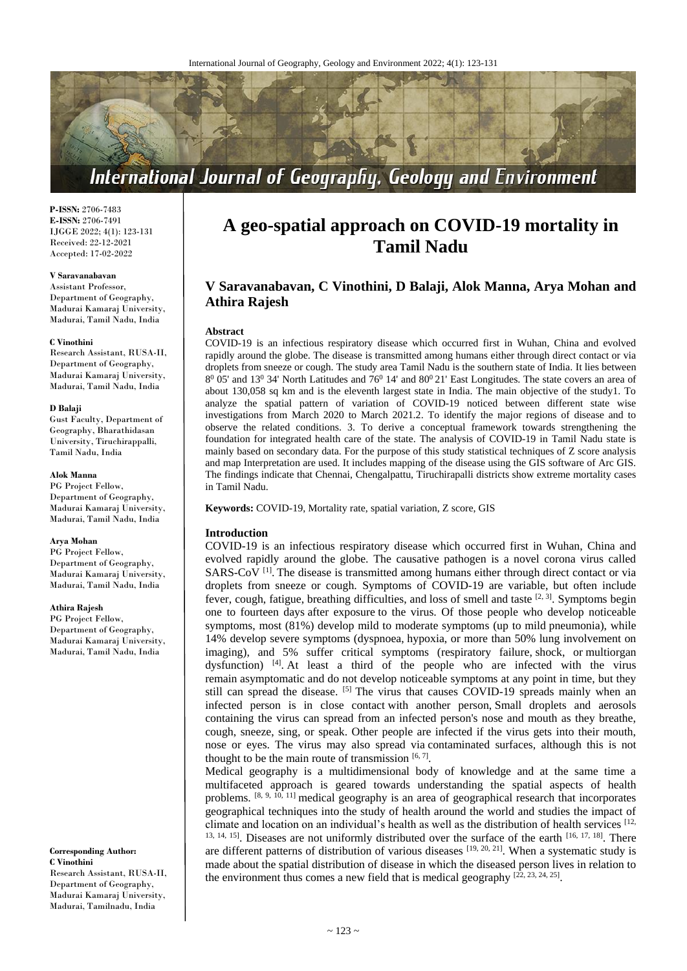

**P-ISSN:** 2706-7483 **E-ISSN:** 2706-7491 IJGGE 2022; 4(1): 123-131 Received: 22-12-2021 Accepted: 17-02-2022

#### **V Saravanabavan**

Assistant Professor, Department of Geography, Madurai Kamaraj University, Madurai, Tamil Nadu, India

#### **C Vinothini**

Research Assistant, RUSA-II, Department of Geography, Madurai Kamaraj University, Madurai, Tamil Nadu, India

## **D Balaji**

Gust Faculty, Department of Geography, Bharathidasan University, Tiruchirappalli, Tamil Nadu, India

#### **Alok Manna**

PG Project Fellow, Department of Geography, Madurai Kamaraj University, Madurai, Tamil Nadu, India

#### **Arya Mohan**

PG Project Fellow, Department of Geography, Madurai Kamaraj University, Madurai, Tamil Nadu, India

## **Athira Rajesh**

PG Project Fellow, Department of Geography, Madurai Kamaraj University, Madurai, Tamil Nadu, India

#### **Corresponding Author: C Vinothini**

Research Assistant, RUSA-II, Department of Geography, Madurai Kamaraj University, Madurai, Tamilnadu, India

# **A geo-spatial approach on COVID-19 mortality in Tamil Nadu**

# **V Saravanabavan, C Vinothini, D Balaji, Alok Manna, Arya Mohan and Athira Rajesh**

#### **Abstract**

COVID-19 is an infectious respiratory disease which occurred first in Wuhan, China and evolved rapidly around the globe. The disease is transmitted among humans either through direct contact or via droplets from sneeze or cough. The study area Tamil Nadu is the southern state of India. It lies between  $8^{\circ}$  05' and 13<sup>0</sup> 34' North Latitudes and 76<sup>0</sup> 14' and  $80^{\circ}$  21' East Longitudes. The state covers an area of about 130,058 sq km and is the eleventh largest state in India. The main objective of the study1. To analyze the spatial pattern of variation of COVID-19 noticed between different state wise investigations from March 2020 to March 2021.2. To identify the major regions of disease and to observe the related conditions. 3. To derive a conceptual framework towards strengthening the foundation for integrated health care of the state. The analysis of COVID-19 in Tamil Nadu state is mainly based on secondary data. For the purpose of this study statistical techniques of Z score analysis and map Interpretation are used. It includes mapping of the disease using the GIS software of Arc GIS. The findings indicate that Chennai, Chengalpattu, Tiruchirapalli districts show extreme mortality cases in Tamil Nadu.

**Keywords:** COVID-19, Mortality rate, spatial variation, Z score, GIS

### **Introduction**

COVID-19 is an infectious respiratory disease which occurred first in Wuhan, China and evolved rapidly around the globe. The causative pathogen is a novel corona virus called SARS-CoV<sup>[1]</sup>. The disease is transmitted among humans either through direct contact or via droplets from sneeze or cough. Symptoms of COVID-19 are variable, but often include fever, cough, fatigue, breathing difficulties, and loss of smell and taste <sup>[2, 3]</sup>. Symptoms begin one to fourteen days after exposure to the virus. Of those people who develop noticeable symptoms, most (81%) develop mild to moderate symptoms (up to mild pneumonia), while 14% develop severe symptoms (dyspnoea, hypoxia, or more than 50% lung involvement on imaging), and 5% suffer critical symptoms (respiratory failure, shock, or multiorgan dysfunction) <sup>[4]</sup>. At least a third of the people who are infected with the virus remain asymptomatic and do not develop noticeable symptoms at any point in time, but they still can spread the disease. <sup>[5]</sup> The virus that causes COVID-19 spreads mainly when an infected person is in close contact with another person, Small droplets and aerosols containing the virus can spread from an infected person's nose and mouth as they breathe, cough, sneeze, sing, or speak. Other people are infected if the virus gets into their mouth, nose or eyes. The virus may also spread via contaminated surfaces, although this is not thought to be the main route of transmission  $[6, 7]$ .

Medical geography is a multidimensional body of knowledge and at the same time a multifaceted approach is geared towards understanding the spatial aspects of health problems. <sup>[8, 9, 10, 11]</sup> medical geography is an area of geographical research that incorporates geographical techniques into the study of health around the world and studies the impact of climate and location on an individual's health as well as the distribution of health services [12, <sup>13, 14, 15</sup>]. Diseases are not uniformly distributed over the surface of the earth <sup>[16, 17, 18]</sup>. There are different patterns of distribution of various diseases  $[19, 20, 21]$ . When a systematic study is made about the spatial distribution of disease in which the diseased person lives in relation to the environment thus comes a new field that is medical geography  $[22, 23, 24, 25]$ .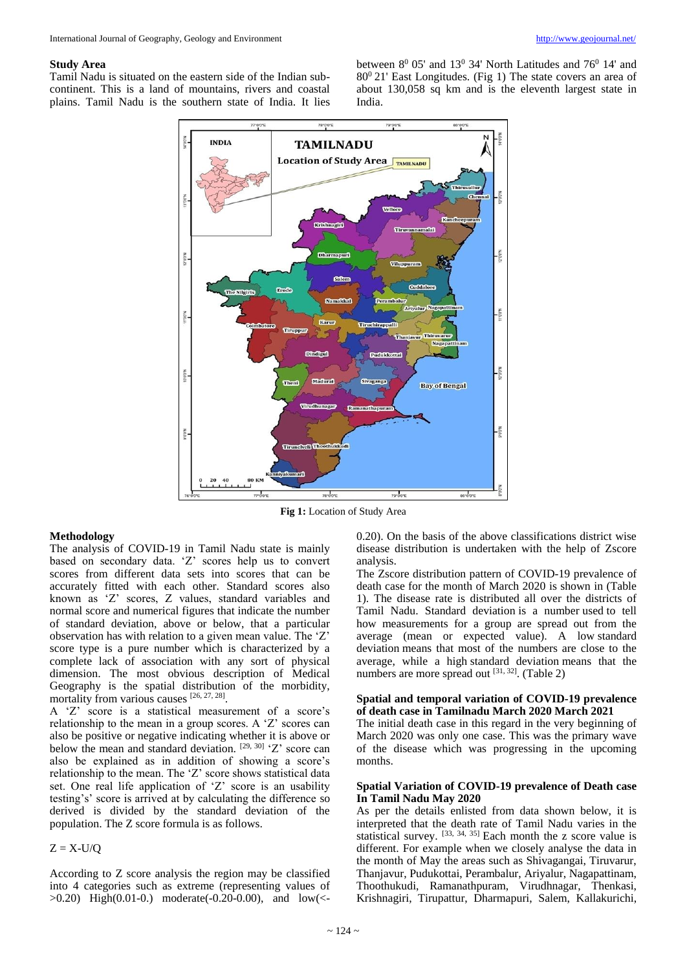#### **Study Area**

Tamil Nadu is situated on the eastern side of the Indian subcontinent. This is a land of mountains, rivers and coastal plains. Tamil Nadu is the southern state of India. It lies

between  $8^0$  05' and  $13^0$  34' North Latitudes and 76<sup>0</sup> 14' and  $80<sup>0</sup> 21'$  East Longitudes. (Fig 1) The state covers an area of about 130,058 sq km and is the eleventh largest state in India.



**Fig 1:** Location of Study Area

#### **Methodology**

The analysis of COVID-19 in Tamil Nadu state is mainly based on secondary data. 'Z' scores help us to convert scores from different data sets into scores that can be accurately fitted with each other. Standard scores also known as 'Z' scores, Z values, standard variables and normal score and numerical figures that indicate the number of standard deviation, above or below, that a particular observation has with relation to a given mean value. The 'Z' score type is a pure number which is characterized by a complete lack of association with any sort of physical dimension. The most obvious description of Medical Geography is the spatial distribution of the morbidity, mortality from various causes [26, 27, 28].

A 'Z' score is a statistical measurement of a score's relationship to the mean in a group scores. A 'Z' scores can also be positive or negative indicating whether it is above or below the mean and standard deviation.  $[29, 30]$   $Z$  score can also be explained as in addition of showing a score's relationship to the mean. The 'Z' score shows statistical data set. One real life application of 'Z' score is an usability testing's' score is arrived at by calculating the difference so derived is divided by the standard deviation of the population. The Z score formula is as follows.

## $Z = X-U/Q$

According to Z score analysis the region may be classified into 4 categories such as extreme (representing values of >0.20) High(0.01-0.) moderate(-0.20-0.00), and low(<-

0.20). On the basis of the above classifications district wise disease distribution is undertaken with the help of Zscore analysis.

The Zscore distribution pattern of COVID-19 prevalence of death case for the month of March 2020 is shown in (Table 1). The disease rate is distributed all over the districts of Tamil Nadu. Standard deviation is a number used to tell how measurements for a group are spread out from the average (mean or expected value). A low standard deviation means that most of the numbers are close to the average, while a high standard deviation means that the numbers are more spread out  $[31, 32]$ . (Table 2)

## **Spatial and temporal variation of COVID-19 prevalence of death case in Tamilnadu March 2020 March 2021**

The initial death case in this regard in the very beginning of March 2020 was only one case. This was the primary wave of the disease which was progressing in the upcoming months.

## **Spatial Variation of COVID-19 prevalence of Death case In Tamil Nadu May 2020**

As per the details enlisted from data shown below, it is interpreted that the death rate of Tamil Nadu varies in the statistical survey. [33, 34, 35] Each month the z score value is different. For example when we closely analyse the data in the month of May the areas such as Shivagangai, Tiruvarur, Thanjavur, Pudukottai, Perambalur, Ariyalur, Nagapattinam, Thoothukudi, Ramanathpuram, Virudhnagar, Thenkasi, Krishnagiri, Tirupattur, Dharmapuri, Salem, Kallakurichi,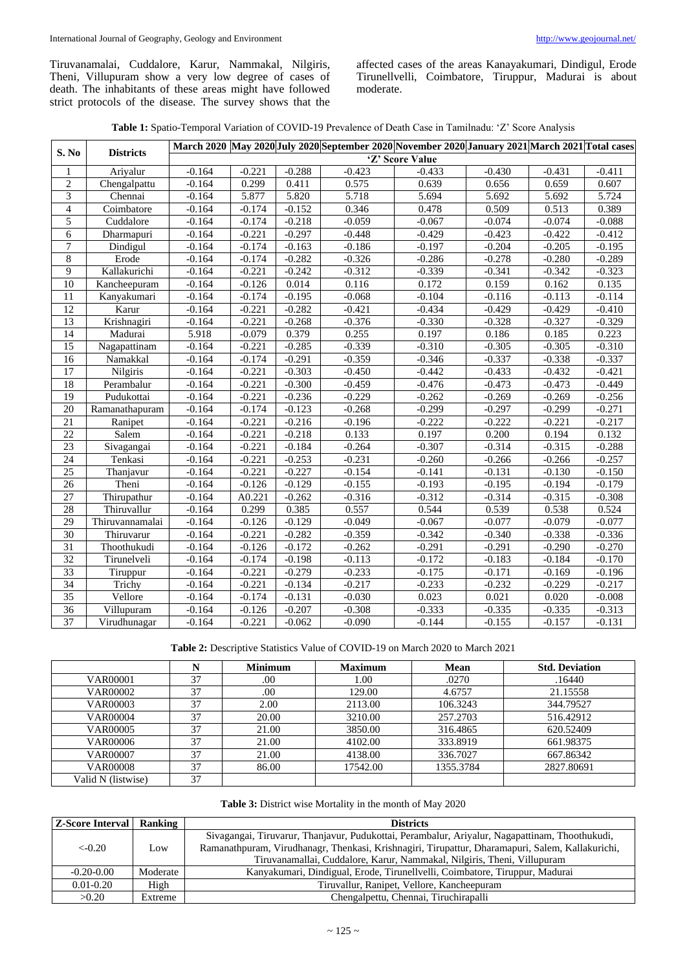Tiruvanamalai, Cuddalore, Karur, Nammakal, Nilgiris, Theni, Villupuram show a very low degree of cases of death. The inhabitants of these areas might have followed strict protocols of the disease. The survey shows that the

affected cases of the areas Kanayakumari, Dindigul, Erode Tirunellvelli, Coimbatore, Tiruppur, Madurai is about moderate.

| Table 1: Spatio-Temporal Variation of COVID-19 Prevalence of Death Case in Tamilnadu: 'Z' Score Analysis |  |  |  |  |
|----------------------------------------------------------------------------------------------------------|--|--|--|--|
|----------------------------------------------------------------------------------------------------------|--|--|--|--|

|                 |                                 | March 2020 May 2020 July 2020 September 2020 November 2020 January 2021 March 2021 Total cases |          |          |          |          |          |          |          |
|-----------------|---------------------------------|------------------------------------------------------------------------------------------------|----------|----------|----------|----------|----------|----------|----------|
| S. No           | <b>Districts</b>                | 'Z' Score Value                                                                                |          |          |          |          |          |          |          |
| 1               | Ariyalur                        | $-0.164$                                                                                       | $-0.221$ | $-0.288$ | $-0.423$ | $-0.433$ | $-0.430$ | $-0.431$ | $-0.411$ |
| $\overline{2}$  | Chengalpattu                    | $-0.164$                                                                                       | 0.299    | 0.411    | 0.575    | 0.639    | 0.656    | 0.659    | 0.607    |
| $\overline{3}$  | Chennai                         | $-0.164$                                                                                       | 5.877    | 5.820    | 5.718    | 5.694    | 5.692    | 5.692    | 5.724    |
| $\overline{4}$  | $\overline{\text{Co}}$ imbatore | $-0.164$                                                                                       | $-0.174$ | $-0.152$ | 0.346    | 0.478    | 0.509    | 0.513    | 0.389    |
| 5               | Cuddalore                       | $-0.164$                                                                                       | $-0.174$ | $-0.218$ | $-0.059$ | $-0.067$ | $-0.074$ | $-0.074$ | $-0.088$ |
| 6               | Dharmapuri                      | $-0.164$                                                                                       | $-0.221$ | $-0.297$ | $-0.448$ | $-0.429$ | $-0.423$ | $-0.422$ | $-0.412$ |
| $\tau$          | Dindigul                        | $-0.164$                                                                                       | $-0.174$ | $-0.163$ | $-0.186$ | $-0.197$ | $-0.204$ | $-0.205$ | $-0.195$ |
| $8\,$           | Erode                           | $-0.164$                                                                                       | $-0.174$ | $-0.282$ | $-0.326$ | $-0.286$ | $-0.278$ | $-0.280$ | $-0.289$ |
| 9               | Kallakurichi                    | $-0.164$                                                                                       | $-0.221$ | $-0.242$ | $-0.312$ | $-0.339$ | $-0.341$ | $-0.342$ | $-0.323$ |
| 10              | Kancheepuram                    | $-0.164$                                                                                       | $-0.126$ | 0.014    | 0.116    | 0.172    | 0.159    | 0.162    | 0.135    |
| 11              | Kanyakumari                     | $-0.164$                                                                                       | $-0.174$ | $-0.195$ | $-0.068$ | $-0.104$ | $-0.116$ | $-0.113$ | $-0.114$ |
| 12              | Karur                           | $-0.164$                                                                                       | $-0.221$ | $-0.282$ | $-0.421$ | $-0.434$ | $-0.429$ | $-0.429$ | $-0.410$ |
| 13              | Krishnagiri                     | $-0.164$                                                                                       | $-0.221$ | $-0.268$ | $-0.376$ | $-0.330$ | $-0.328$ | $-0.327$ | $-0.329$ |
| 14              | Madurai                         | 5.918                                                                                          | $-0.079$ | 0.379    | 0.255    | 0.197    | 0.186    | 0.185    | 0.223    |
| 15              | Nagapattinam                    | $-0.164$                                                                                       | $-0.221$ | $-0.285$ | $-0.339$ | $-0.310$ | $-0.305$ | $-0.305$ | $-0.310$ |
| 16              | Namakkal                        | $-0.164$                                                                                       | $-0.174$ | $-0.291$ | $-0.359$ | $-0.346$ | $-0.337$ | $-0.338$ | $-0.337$ |
| 17              | Nilgiris                        | $-0.164$                                                                                       | $-0.221$ | $-0.303$ | $-0.450$ | $-0.442$ | $-0.433$ | $-0.432$ | $-0.421$ |
| 18              | Perambalur                      | $-0.164$                                                                                       | $-0.221$ | $-0.300$ | $-0.459$ | $-0.476$ | $-0.473$ | $-0.473$ | $-0.449$ |
| 19              | Pudukottai                      | $-0.164$                                                                                       | $-0.221$ | $-0.236$ | $-0.229$ | $-0.262$ | $-0.269$ | $-0.269$ | $-0.256$ |
| $\overline{20}$ | Ramanathapuram                  | $-0.164$                                                                                       | $-0.174$ | $-0.123$ | $-0.268$ | $-0.299$ | $-0.297$ | $-0.299$ | $-0.271$ |
| 21              | Ranipet                         | $-0.164$                                                                                       | $-0.221$ | $-0.216$ | $-0.196$ | $-0.222$ | $-0.222$ | $-0.221$ | $-0.217$ |
| $\overline{22}$ | Salem                           | $-0.164$                                                                                       | $-0.221$ | $-0.218$ | 0.133    | 0.197    | 0.200    | 0.194    | 0.132    |
| $\overline{23}$ | Sivagangai                      | $-0.164$                                                                                       | $-0.221$ | $-0.184$ | $-0.264$ | $-0.307$ | $-0.314$ | $-0.315$ | $-0.288$ |
| 24              | Tenkasi                         | $-0.164$                                                                                       | $-0.221$ | $-0.253$ | $-0.231$ | $-0.260$ | $-0.266$ | $-0.266$ | $-0.257$ |
| $\overline{25}$ | Thanjavur                       | $-0.164$                                                                                       | $-0.221$ | $-0.227$ | $-0.154$ | $-0.141$ | $-0.131$ | $-0.130$ | $-0.150$ |
| $\overline{26}$ | Theni                           | $-0.164$                                                                                       | $-0.126$ | $-0.129$ | $-0.155$ | $-0.193$ | $-0.195$ | $-0.194$ | $-0.179$ |
| 27              | Thirupathur                     | $-0.164$                                                                                       | A0.221   | $-0.262$ | $-0.316$ | $-0.312$ | $-0.314$ | $-0.315$ | $-0.308$ |
| $\overline{28}$ | Thiruvallur                     | $-0.164$                                                                                       | 0.299    | 0.385    | 0.557    | 0.544    | 0.539    | 0.538    | 0.524    |
| 29              | Thiruvannamalai                 | $-0.164$                                                                                       | $-0.126$ | $-0.129$ | $-0.049$ | $-0.067$ | $-0.077$ | $-0.079$ | $-0.077$ |
| 30              | Thiruvarur                      | $-0.164$                                                                                       | $-0.221$ | $-0.282$ | $-0.359$ | $-0.342$ | $-0.340$ | $-0.338$ | $-0.336$ |
| 31              | Thoothukudi                     | $-0.164$                                                                                       | $-0.126$ | $-0.172$ | $-0.262$ | $-0.291$ | $-0.291$ | $-0.290$ | $-0.270$ |
| 32              | Tirunelveli                     | $-0.164$                                                                                       | $-0.174$ | $-0.198$ | $-0.113$ | $-0.172$ | $-0.183$ | $-0.184$ | $-0.170$ |
| 33              | Tiruppur                        | $-0.164$                                                                                       | $-0.221$ | $-0.279$ | $-0.233$ | $-0.175$ | $-0.171$ | $-0.169$ | $-0.196$ |
| 34              | Trichy                          | $-0.164$                                                                                       | $-0.221$ | $-0.134$ | $-0.217$ | $-0.233$ | $-0.232$ | $-0.229$ | $-0.217$ |
| 35              | Vellore                         | $-0.164$                                                                                       | $-0.174$ | $-0.131$ | $-0.030$ | 0.023    | 0.021    | 0.020    | $-0.008$ |
| $\overline{36}$ | Villupuram                      | $-0.164$                                                                                       | $-0.126$ | $-0.207$ | $-0.308$ | $-0.333$ | $-0.335$ | $-0.335$ | $-0.313$ |
| 37              | Virudhunagar                    | $-0.164$                                                                                       | $-0.221$ | $-0.062$ | $-0.090$ | $-0.144$ | $-0.155$ | $-0.157$ | $-0.131$ |

**Table 2:** Descriptive Statistics Value of COVID-19 on March 2020 to March 2021

|                    | N  | <b>Minimum</b> | <b>Maximum</b> | Mean      | <b>Std. Deviation</b> |
|--------------------|----|----------------|----------------|-----------|-----------------------|
| <b>VAR00001</b>    | 37 | .00            | 1.00           | .0270     | .16440                |
| <b>VAR00002</b>    | 37 | .00            | 129.00         | 4.6757    | 21.15558              |
| VAR00003           | 37 | 2.00           | 2113.00        | 106.3243  | 344.79527             |
| <b>VAR00004</b>    | 37 | 20.00          | 3210.00        | 257.2703  | 516.42912             |
| <b>VAR00005</b>    | 37 | 21.00          | 3850.00        | 316.4865  | 620.52409             |
| <b>VAR00006</b>    | 37 | 21.00          | 4102.00        | 333.8919  | 661.98375             |
| <b>VAR00007</b>    | 37 | 21.00          | 4138.00        | 336.7027  | 667.86342             |
| <b>VAR00008</b>    | 37 | 86.00          | 17542.00       | 1355.3784 | 2827.80691            |
| Valid N (listwise) | 37 |                |                |           |                       |

|  | Table 3: District wise Mortality in the month of May 2020 |
|--|-----------------------------------------------------------|
|  |                                                           |

| <b>Z-Score Interval</b> Ranking |          | <b>Districts</b>                                                                                                                                                                                                                                                              |
|---------------------------------|----------|-------------------------------------------------------------------------------------------------------------------------------------------------------------------------------------------------------------------------------------------------------------------------------|
| $<-0.20$                        | Low      | Sivagangai, Tiruvarur, Thanjavur, Pudukottai, Perambalur, Ariyalur, Nagapattinam, Thoothukudi,<br>Ramanathpuram, Virudhanagr, Thenkasi, Krishnagiri, Tirupattur, Dharamapuri, Salem, Kallakurichi,<br>Tiruvanamallai, Cuddalore, Karur, Nammakal, Nilgiris, Theni, Villupuram |
| $-0.20 - 0.00$                  | Moderate | Kanyakumari, Dindigual, Erode, Tirunellvelli, Coimbatore, Tiruppur, Madurai                                                                                                                                                                                                   |
| $0.01 - 0.20$                   | High     | Tiruvallur, Ranipet, Vellore, Kancheepuram                                                                                                                                                                                                                                    |
| >0.20                           | Extreme  | Chengalpettu, Chennai, Tiruchirapalli                                                                                                                                                                                                                                         |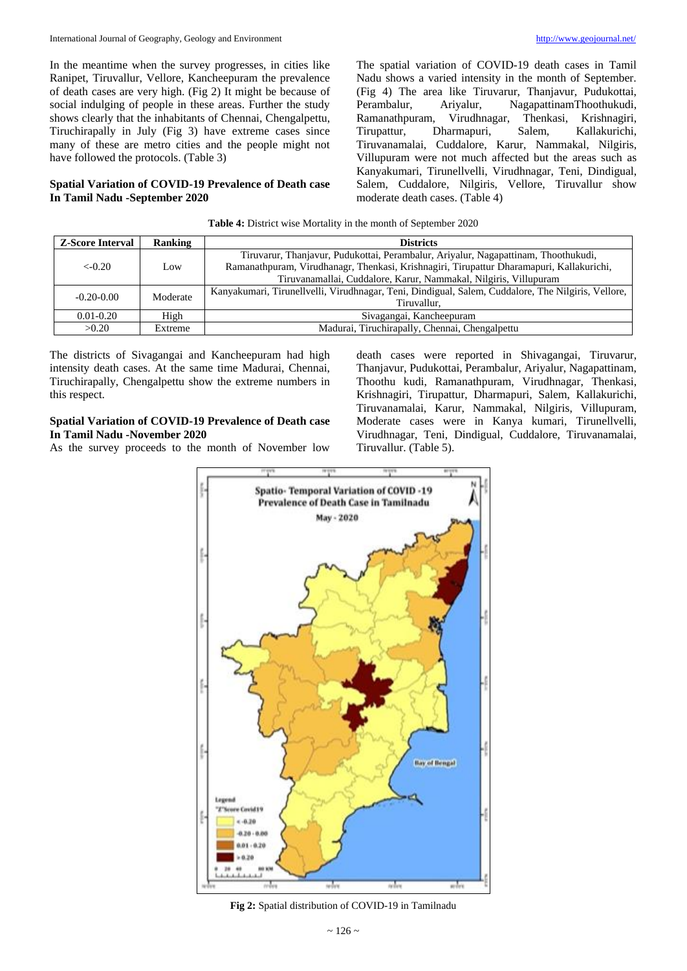In the meantime when the survey progresses, in cities like Ranipet, Tiruvallur, Vellore, Kancheepuram the prevalence of death cases are very high. (Fig 2) It might be because of social indulging of people in these areas. Further the study shows clearly that the inhabitants of Chennai, Chengalpettu, Tiruchirapally in July (Fig 3) have extreme cases since many of these are metro cities and the people might not have followed the protocols. (Table 3)

## **Spatial Variation of COVID-19 Prevalence of Death case In Tamil Nadu -September 2020**

The spatial variation of COVID-19 death cases in Tamil Nadu shows a varied intensity in the month of September. (Fig 4) The area like Tiruvarur, Thanjavur, Pudukottai, Perambalur, Ariyalur, NagapattinamThoothukudi, Ramanathpuram, Virudhnagar, Thenkasi, Krishnagiri, Tirupattur, Dharmapuri, Salem, Kallakurichi, Tiruvanamalai, Cuddalore, Karur, Nammakal, Nilgiris, Villupuram were not much affected but the areas such as Kanyakumari, Tirunellvelli, Virudhnagar, Teni, Dindigual, Salem, Cuddalore, Nilgiris, Vellore, Tiruvallur show moderate death cases. (Table 4)

| <b>Table 4:</b> District wise Mortality in the month of September 2020 |  |
|------------------------------------------------------------------------|--|
|                                                                        |  |

| <b>Z-Score Interval</b> | Ranking  | <b>Districts</b>                                                                                   |
|-------------------------|----------|----------------------------------------------------------------------------------------------------|
|                         |          | Tiruvarur, Thanjavur, Pudukottai, Perambalur, Ariyalur, Nagapattinam, Thoothukudi,                 |
| $<-0.20$                | Low      | Ramanathpuram, Virudhanagr, Thenkasi, Krishnagiri, Tirupattur Dharamapuri, Kallakurichi,           |
|                         |          | Tiruvanamallai, Cuddalore, Karur, Nammakal, Nilgiris, Villupuram                                   |
| $-0.20 - 0.00$          | Moderate | Kanyakumari, Tirunellvelli, Virudhnagar, Teni, Dindigual, Salem, Cuddalore, The Nilgiris, Vellore, |
|                         |          | Tiruvallur.                                                                                        |
| $0.01 - 0.20$           | High     | Sivagangai, Kancheepuram                                                                           |
| >0.20                   | Extreme  | Madurai, Tiruchirapally, Chennai, Chengalpettu                                                     |

The districts of Sivagangai and Kancheepuram had high intensity death cases. At the same time Madurai, Chennai, Tiruchirapally, Chengalpettu show the extreme numbers in this respect.

# **Spatial Variation of COVID-19 Prevalence of Death case In Tamil Nadu -November 2020**

As the survey proceeds to the month of November low

death cases were reported in Shivagangai, Tiruvarur, Thanjavur, Pudukottai, Perambalur, Ariyalur, Nagapattinam, Thoothu kudi, Ramanathpuram, Virudhnagar, Thenkasi, Krishnagiri, Tirupattur, Dharmapuri, Salem, Kallakurichi, Tiruvanamalai, Karur, Nammakal, Nilgiris, Villupuram, Moderate cases were in Kanya kumari, Tirunellvelli, Virudhnagar, Teni, Dindigual, Cuddalore, Tiruvanamalai, Tiruvallur. (Table 5).



**Fig 2:** Spatial distribution of COVID-19 in Tamilnadu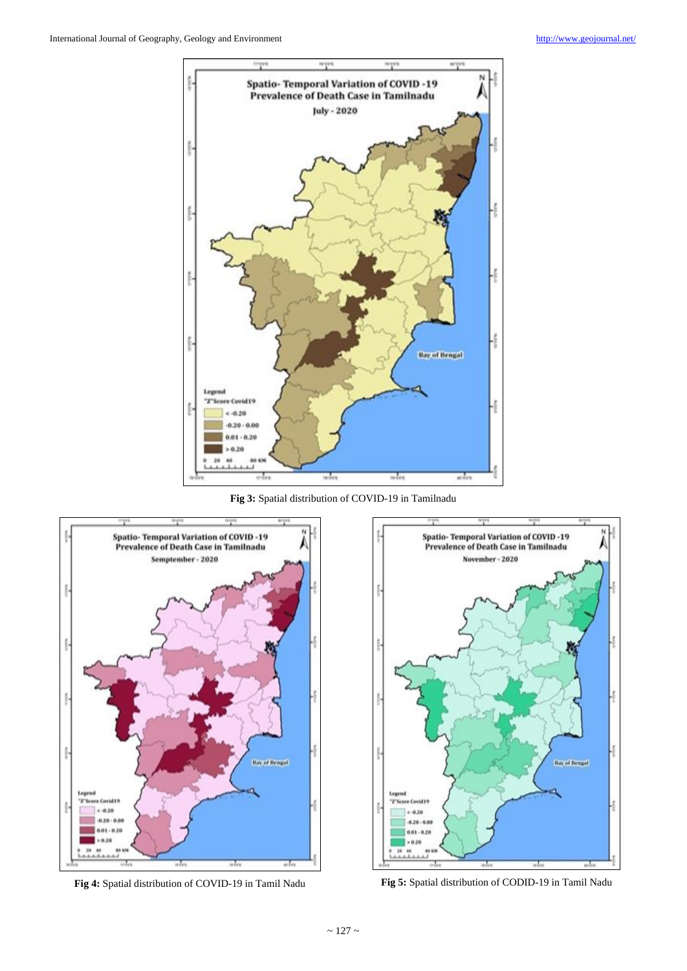

**Fig 3:** Spatial distribution of COVID-19 in Tamilnadu



**Fig 4:** Spatial distribution of COVID-19 in Tamil Nadu **Fig 5:** Spatial distribution of CODID-19 in Tamil Nadu

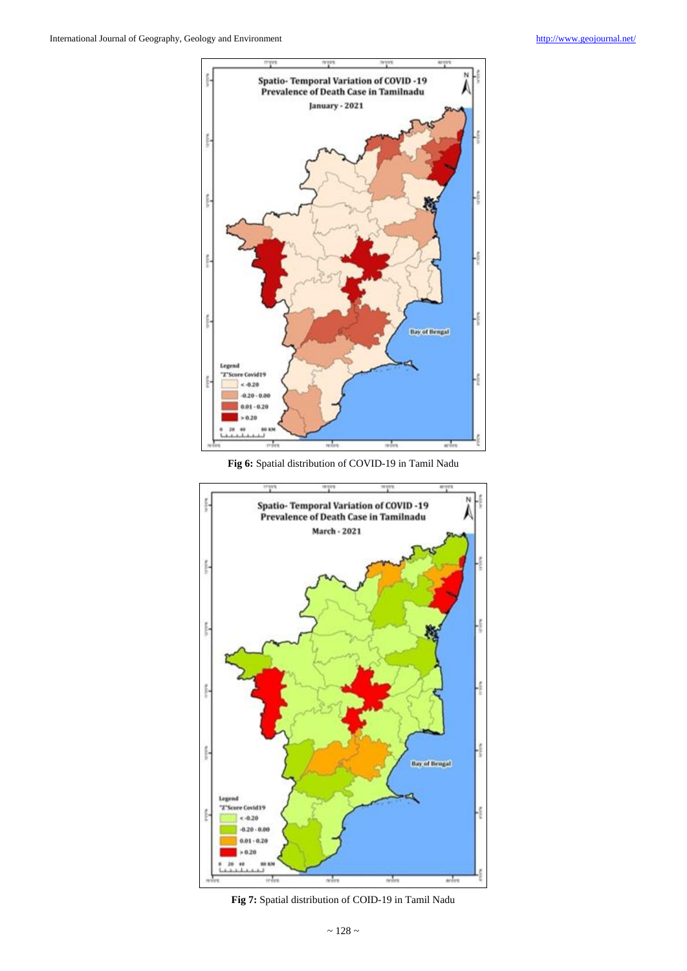

**Fig 6:** Spatial distribution of COVID-19 in Tamil Nadu



**Fig 7:** Spatial distribution of COID-19 in Tamil Nadu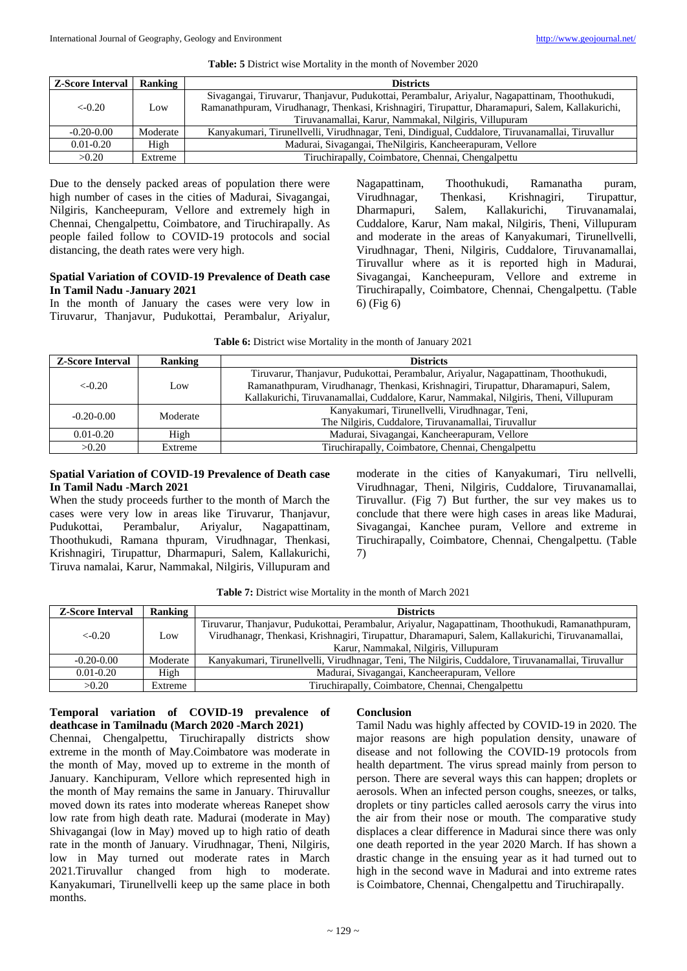## **Table: 5** District wise Mortality in the month of November 2020

| <b>Z-Score Interval</b> | Ranking  | <b>Districts</b>                                                                                 |
|-------------------------|----------|--------------------------------------------------------------------------------------------------|
|                         |          | Sivagangai, Tiruvarur, Thanjavur, Pudukottai, Perambalur, Ariyalur, Nagapattinam, Thoothukudi,   |
| $<-0.20$                | Low.     | Ramanathpuram, Virudhanagr, Thenkasi, Krishnagiri, Tirupattur, Dharamapuri, Salem, Kallakurichi, |
|                         |          | Tiruvanamallai, Karur, Nammakal, Nilgiris, Villupuram                                            |
| $-0.20 - 0.00$          | Moderate | Kanyakumari, Tirunellvelli, Virudhnagar, Teni, Dindigual, Cuddalore, Tiruvanamallai, Tiruvallur  |
| $0.01 - 0.20$           | High     | Madurai, Sivagangai, The Nilgiris, Kancheerapuram, Vellore                                       |
| >0.20                   | Extreme  | Tiruchirapally, Coimbatore, Chennai, Chengalpettu                                                |

Due to the densely packed areas of population there were high number of cases in the cities of Madurai, Sivagangai, Nilgiris, Kancheepuram, Vellore and extremely high in Chennai, Chengalpettu, Coimbatore, and Tiruchirapally. As people failed follow to COVID-19 protocols and social distancing, the death rates were very high.

# **Spatial Variation of COVID-19 Prevalence of Death case In Tamil Nadu -January 2021**

In the month of January the cases were very low in Tiruvarur, Thanjavur, Pudukottai, Perambalur, Ariyalur,

Nagapattinam, Thoothukudi, Ramanatha puram, Virudhnagar, Thenkasi, Krishnagiri, Tirupattur, Dharmapuri, Salem, Kallakurichi, Tiruvanamalai, Cuddalore, Karur, Nam makal, Nilgiris, Theni, Villupuram and moderate in the areas of Kanyakumari, Tirunellvelli, Virudhnagar, Theni, Nilgiris, Cuddalore, Tiruvanamallai, Tiruvallur where as it is reported high in Madurai, Sivagangai, Kancheepuram, Vellore and extreme in Tiruchirapally, Coimbatore, Chennai, Chengalpettu. (Table 6) (Fig 6)

**Table 6:** District wise Mortality in the month of January 2021

| <b>Z-Score Interval</b> | Ranking  | <b>Districts</b>                                                                      |
|-------------------------|----------|---------------------------------------------------------------------------------------|
|                         |          | Tiruvarur, Thanjavur, Pudukottai, Perambalur, Ariyalur, Nagapattinam, Thoothukudi,    |
| $<-0.20$                | Low      | Ramanathpuram, Virudhanagr, Thenkasi, Krishnagiri, Tirupattur, Dharamapuri, Salem,    |
|                         |          | Kallakurichi, Tiruvanamallai, Cuddalore, Karur, Nammakal, Nilgiris, Theni, Villupuram |
| $-0.20 - 0.00$          | Moderate | Kanyakumari, Tirunellvelli, Virudhnagar, Teni,                                        |
|                         |          | The Nilgiris, Cuddalore, Tiruvanamallai, Tiruvallur                                   |
| $0.01 - 0.20$           | High     | Madurai, Sivagangai, Kancheerapuram, Vellore                                          |
| >0.20                   | Extreme  | Tiruchirapally, Coimbatore, Chennai, Chengalpettu                                     |

# **Spatial Variation of COVID-19 Prevalence of Death case In Tamil Nadu -March 2021**

When the study proceeds further to the month of March the cases were very low in areas like Tiruvarur, Thanjavur, Pudukottai, Perambalur, Ariyalur, Nagapattinam, Thoothukudi, Ramana thpuram, Virudhnagar, Thenkasi, Krishnagiri, Tirupattur, Dharmapuri, Salem, Kallakurichi, Tiruva namalai, Karur, Nammakal, Nilgiris, Villupuram and

moderate in the cities of Kanyakumari, Tiru nellvelli, Virudhnagar, Theni, Nilgiris, Cuddalore, Tiruvanamallai, Tiruvallur. (Fig 7) But further, the sur vey makes us to conclude that there were high cases in areas like Madurai, Sivagangai, Kanchee puram, Vellore and extreme in Tiruchirapally, Coimbatore, Chennai, Chengalpettu. (Table 7)

| <b>Z-Score Interval</b> | Ranking  | <b>Districts</b>                                                                                   |
|-------------------------|----------|----------------------------------------------------------------------------------------------------|
|                         |          | Tiruvarur, Thanjavur, Pudukottai, Perambalur, Ariyalur, Nagapattinam, Thoothukudi, Ramanathpuram,  |
| $<-0.20$                | Low      | Virudhanagr, Thenkasi, Krishnagiri, Tirupattur, Dharamapuri, Salem, Kallakurichi, Tiruvanamallai,  |
|                         |          | Karur, Nammakal, Nilgiris, Villupuram                                                              |
| $-0.20 - 0.00$          | Moderate | Kanyakumari, Tirunellvelli, Virudhnagar, Teni, The Nilgiris, Cuddalore, Tiruvanamallai, Tiruvallur |
| $0.01 - 0.20$           | High     | Madurai, Sivagangai, Kancheerapuram, Vellore                                                       |
| >0.20                   | Extreme  | Tiruchirapally, Coimbatore, Chennai, Chengalpettu                                                  |

|  |  | <b>Table 7:</b> District wise Mortality in the month of March 2021 |
|--|--|--------------------------------------------------------------------|
|--|--|--------------------------------------------------------------------|

# **Temporal variation of COVID-19 prevalence of deathcase in Tamilnadu (March 2020 -March 2021)**

Chennai, Chengalpettu, Tiruchirapally districts show extreme in the month of May.Coimbatore was moderate in the month of May, moved up to extreme in the month of January. Kanchipuram, Vellore which represented high in the month of May remains the same in January. Thiruvallur moved down its rates into moderate whereas Ranepet show low rate from high death rate. Madurai (moderate in May) Shivagangai (low in May) moved up to high ratio of death rate in the month of January. Virudhnagar, Theni, Nilgiris, low in May turned out moderate rates in March 2021.Tiruvallur changed from high to moderate. Kanyakumari, Tirunellvelli keep up the same place in both months.

# **Conclusion**

Tamil Nadu was highly affected by COVID-19 in 2020. The major reasons are high population density, unaware of disease and not following the COVID-19 protocols from health department. The virus spread mainly from person to person. There are several ways this can happen; droplets or aerosols. When an infected person coughs, sneezes, or talks, droplets or tiny particles called aerosols carry the virus into the air from their nose or mouth. The comparative study displaces a clear difference in Madurai since there was only one death reported in the year 2020 March. If has shown a drastic change in the ensuing year as it had turned out to high in the second wave in Madurai and into extreme rates is Coimbatore, Chennai, Chengalpettu and Tiruchirapally.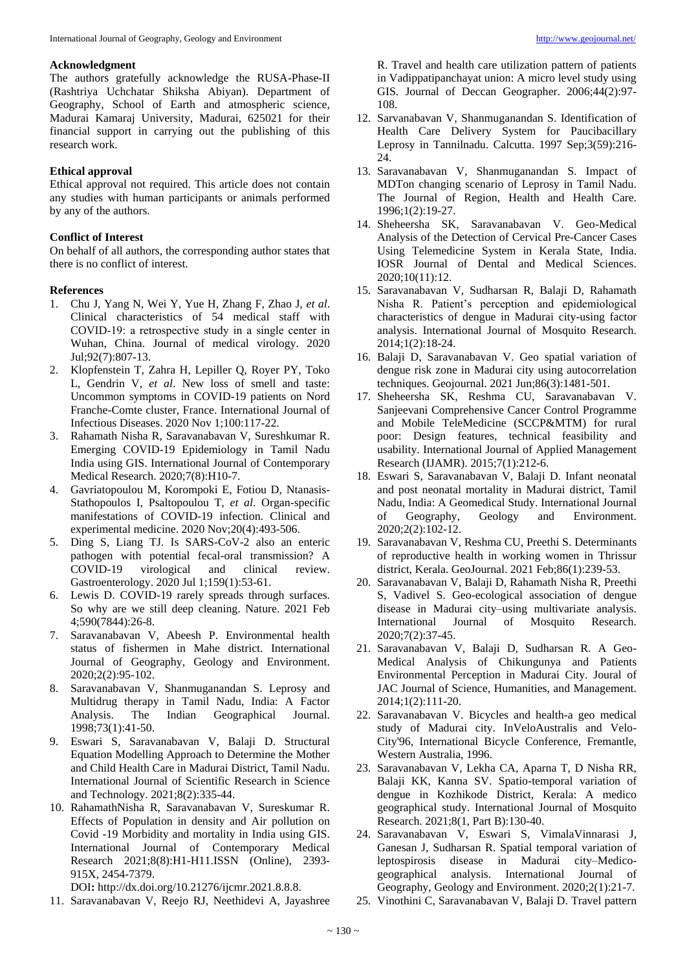# **Acknowledgment**

The authors gratefully acknowledge the RUSA-Phase-II (Rashtriya Uchchatar Shiksha Abiyan). Department of Geography, School of Earth and atmospheric science, Madurai Kamaraj University, Madurai, 625021 for their financial support in carrying out the publishing of this research work.

# **Ethical approval**

Ethical approval not required. This article does not contain any studies with human participants or animals performed by any of the authors.

# **Conflict of Interest**

On behalf of all authors, the corresponding author states that there is no conflict of interest.

# **References**

- 1. Chu J, Yang N, Wei Y, Yue H, Zhang F, Zhao J, *et al*. Clinical characteristics of 54 medical staff with COVID‐19: a retrospective study in a single center in Wuhan, China. Journal of medical virology. 2020 Jul;92(7):807-13.
- 2. Klopfenstein T, Zahra H, Lepiller Q, Royer PY, Toko L, Gendrin V, *et al*. New loss of smell and taste: Uncommon symptoms in COVID-19 patients on Nord Franche-Comte cluster, France. International Journal of Infectious Diseases. 2020 Nov 1;100:117-22.
- 3. Rahamath Nisha R, Saravanabavan V, Sureshkumar R. Emerging COVID-19 Epidemiology in Tamil Nadu India using GIS. International Journal of Contemporary Medical Research. 2020;7(8):H10-7.
- 4. Gavriatopoulou M, Korompoki E, Fotiou D, Ntanasis-Stathopoulos I, Psaltopoulou T, *et al*. Organ-specific manifestations of COVID-19 infection. Clinical and experimental medicine. 2020 Nov;20(4):493-506.
- 5. Ding S, Liang TJ. Is SARS-CoV-2 also an enteric pathogen with potential fecal-oral transmission? A COVID-19 virological and clinical review. Gastroenterology. 2020 Jul 1;159(1):53-61.
- 6. Lewis D. COVID-19 rarely spreads through surfaces. So why are we still deep cleaning. Nature. 2021 Feb 4;590(7844):26-8.
- 7. Saravanabavan V, Abeesh P. Environmental health status of fishermen in Mahe district. International Journal of Geography, Geology and Environment. 2020;2(2):95-102.
- 8. Saravanabavan V, Shanmuganandan S. Leprosy and Multidrug therapy in Tamil Nadu, India: A Factor Analysis. The Indian Geographical Journal. 1998;73(1):41-50.
- 9. Eswari S, Saravanabavan V, Balaji D. Structural Equation Modelling Approach to Determine the Mother and Child Health Care in Madurai District, Tamil Nadu. International Journal of Scientific Research in Science and Technology. 2021;8(2):335-44.
- 10. RahamathNisha R, Saravanabavan V, Sureskumar R. Effects of Population in density and Air pollution on Covid -19 Morbidity and mortality in India using GIS. International Journal of Contemporary Medical Research 2021;8(8):H1-H11.ISSN (Online), 2393- 915X, 2454-7379.

DOI**:** http://dx.doi.org/10.21276/ijcmr.2021.8.8.8.

11. Saravanabavan V, Reejo RJ, Neethidevi A, Jayashree

R. Travel and health care utilization pattern of patients in Vadippatipanchayat union: A micro level study using GIS. Journal of Deccan Geographer. 2006;44(2):97- 108.

- 12. Sarvanabavan V, Shanmuganandan S. Identification of Health Care Delivery System for Paucibacillary Leprosy in Tannilnadu. Calcutta. 1997 Sep;3(59):216- 24.
- 13. Saravanabavan V, Shanmuganandan S. Impact of MDTon changing scenario of Leprosy in Tamil Nadu. The Journal of Region, Health and Health Care. 1996;1(2):19-27.
- 14. Sheheersha SK, Saravanabavan V. Geo-Medical Analysis of the Detection of Cervical Pre-Cancer Cases Using Telemedicine System in Kerala State, India. IOSR Journal of Dental and Medical Sciences. 2020;10(11):12.
- 15. Saravanabavan V, Sudharsan R, Balaji D, Rahamath Nisha R. Patient's perception and epidemiological characteristics of dengue in Madurai city-using factor analysis. International Journal of Mosquito Research. 2014;1(2):18-24.
- 16. Balaji D, Saravanabavan V. Geo spatial variation of dengue risk zone in Madurai city using autocorrelation techniques. Geojournal. 2021 Jun;86(3):1481-501.
- 17. Sheheersha SK, Reshma CU, Saravanabavan V. Sanjeevani Comprehensive Cancer Control Programme and Mobile TeleMedicine (SCCP&MTM) for rural poor: Design features, technical feasibility and usability. International Journal of Applied Management Research (IJAMR). 2015;7(1):212-6.
- 18. Eswari S, Saravanabavan V, Balaji D. Infant neonatal and post neonatal mortality in Madurai district, Tamil Nadu, India: A Geomedical Study. International Journal of Geography, Geology and Environment. 2020;2(2):102-12.
- 19. Saravanabavan V, Reshma CU, Preethi S. Determinants of reproductive health in working women in Thrissur district, Kerala. GeoJournal. 2021 Feb;86(1):239-53.
- 20. Saravanabavan V, Balaji D, Rahamath Nisha R, Preethi S, Vadivel S. Geo-ecological association of dengue disease in Madurai city–using multivariate analysis. International Journal of Mosquito Research. 2020;7(2):37-45.
- 21. Saravanabavan V, Balaji D, Sudharsan R. A Geo-Medical Analysis of Chikungunya and Patients Environmental Perception in Madurai City. Joural of JAC Journal of Science, Humanities, and Management. 2014;1(2):111-20.
- 22. Saravanabavan V. Bicycles and health-a geo medical study of Madurai city. InVeloAustralis and Velo-City'96, International Bicycle Conference, Fremantle, Western Australia, 1996.
- 23. Saravanabavan V, Lekha CA, Aparna T, D Nisha RR, Balaji KK, Kanna SV. Spatio-temporal variation of dengue in Kozhikode District, Kerala: A medico geographical study. International Journal of Mosquito Research. 2021;8(1, Part B):130-40.
- 24. Saravanabavan V, Eswari S, VimalaVinnarasi J, Ganesan J, Sudharsan R. Spatial temporal variation of leptospirosis disease in Madurai city–Medicogeographical analysis. International Journal of Geography, Geology and Environment. 2020;2(1):21-7.
- 25. Vinothini C, Saravanabavan V, Balaji D. Travel pattern